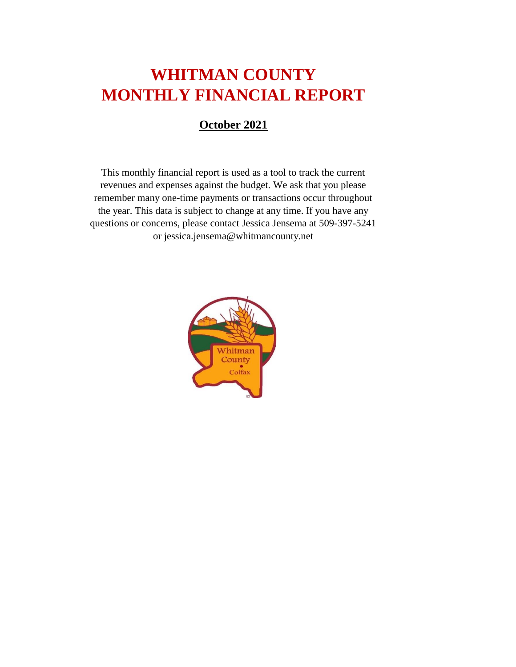# **WHITMAN COUNTY MONTHLY FINANCIAL REPORT**

#### **October 2021**

This monthly financial report is used as a tool to track the current revenues and expenses against the budget. We ask that you please remember many one-time payments or transactions occur throughout the year. This data is subject to change at any time. If you have any questions or concerns, please contact Jessica Jensema at 509-397-5241 or jessica.jensema@whitmancounty.net

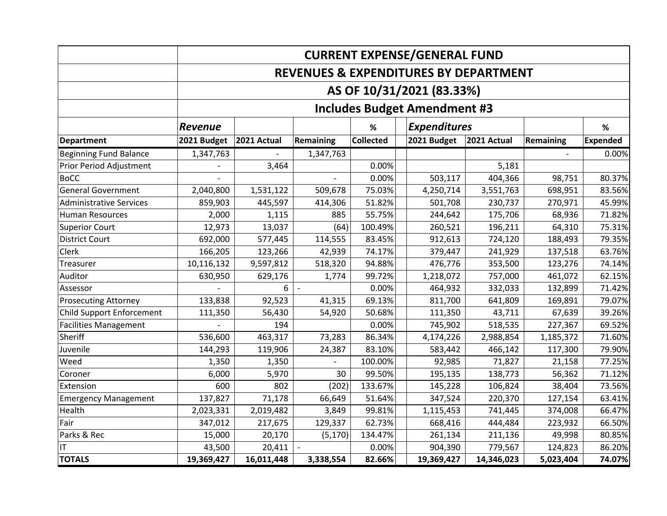|                                |                                                  |             |           |                  | <b>CURRENT EXPENSE/GENERAL FUND</b> |             |           |                 |  |
|--------------------------------|--------------------------------------------------|-------------|-----------|------------------|-------------------------------------|-------------|-----------|-----------------|--|
|                                | <b>REVENUES &amp; EXPENDITURES BY DEPARTMENT</b> |             |           |                  |                                     |             |           |                 |  |
|                                |                                                  |             |           |                  | AS OF 10/31/2021 (83.33%)           |             |           |                 |  |
|                                | <b>Includes Budget Amendment #3</b>              |             |           |                  |                                     |             |           |                 |  |
|                                | <b>Revenue</b>                                   |             |           | ℅                | <b>Expenditures</b>                 |             |           | $\%$            |  |
| <b>Department</b>              | 2021 Budget                                      | 2021 Actual | Remaining | <b>Collected</b> | 2021 Budget                         | 2021 Actual | Remaining | <b>Expended</b> |  |
| <b>Beginning Fund Balance</b>  | 1,347,763                                        |             | 1,347,763 |                  |                                     |             |           | 0.00%           |  |
| Prior Period Adjustment        |                                                  | 3,464       |           | 0.00%            |                                     | 5,181       |           |                 |  |
| <b>BoCC</b>                    |                                                  |             |           | 0.00%            | 503,117                             | 404,366     | 98,751    | 80.37%          |  |
| <b>General Government</b>      | 2,040,800                                        | 1,531,122   | 509,678   | 75.03%           | 4,250,714                           | 3,551,763   | 698,951   | 83.56%          |  |
| <b>Administrative Services</b> | 859,903                                          | 445,597     | 414,306   | 51.82%           | 501,708                             | 230,737     | 270,971   | 45.99%          |  |
| <b>Human Resources</b>         | 2,000                                            | 1,115       | 885       | 55.75%           | 244,642                             | 175,706     | 68,936    | 71.82%          |  |
| <b>Superior Court</b>          | 12,973                                           | 13,037      | (64)      | 100.49%          | 260,521                             | 196,211     | 64,310    | 75.31%          |  |
| <b>District Court</b>          | 692,000                                          | 577,445     | 114,555   | 83.45%           | 912,613                             | 724,120     | 188,493   | 79.35%          |  |
| Clerk                          | 166,205                                          | 123,266     | 42,939    | 74.17%           | 379,447                             | 241,929     | 137,518   | 63.76%          |  |
| Treasurer                      | 10,116,132                                       | 9,597,812   | 518,320   | 94.88%           | 476,776                             | 353,500     | 123,276   | 74.14%          |  |
| Auditor                        | 630,950                                          | 629,176     | 1,774     | 99.72%           | 1,218,072                           | 757,000     | 461,072   | 62.15%          |  |
| Assessor                       |                                                  | 6           |           | 0.00%            | 464,932                             | 332,033     | 132,899   | 71.42%          |  |
| <b>Prosecuting Attorney</b>    | 133,838                                          | 92,523      | 41,315    | 69.13%           | 811,700                             | 641,809     | 169,891   | 79.07%          |  |
| Child Support Enforcement      | 111,350                                          | 56,430      | 54,920    | 50.68%           | 111,350                             | 43,711      | 67,639    | 39.26%          |  |
| <b>Facilities Management</b>   |                                                  | 194         |           | 0.00%            | 745,902                             | 518,535     | 227,367   | 69.52%          |  |
| Sheriff                        | 536,600                                          | 463,317     | 73,283    | 86.34%           | 4,174,226                           | 2,988,854   | 1,185,372 | 71.60%          |  |
| Juvenile                       | 144,293                                          | 119,906     | 24,387    | 83.10%           | 583,442                             | 466,142     | 117,300   | 79.90%          |  |
| Weed                           | 1,350                                            | 1,350       |           | 100.00%          | 92,985                              | 71,827      | 21,158    | 77.25%          |  |
| Coroner                        | 6,000                                            | 5,970       | 30        | 99.50%           | 195,135                             | 138,773     | 56,362    | 71.12%          |  |
| Extension                      | 600                                              | 802         | (202)     | 133.67%          | 145,228                             | 106,824     | 38,404    | 73.56%          |  |
| <b>Emergency Management</b>    | 137,827                                          | 71,178      | 66,649    | 51.64%           | 347,524                             | 220,370     | 127,154   | 63.41%          |  |
| Health                         | 2,023,331                                        | 2,019,482   | 3,849     | 99.81%           | 1,115,453                           | 741,445     | 374,008   | 66.47%          |  |
| Fair                           | 347,012                                          | 217,675     | 129,337   | 62.73%           | 668,416                             | 444,484     | 223,932   | 66.50%          |  |
| Parks & Rec                    | 15,000                                           | 20,170      | (5, 170)  | 134.47%          | 261,134                             | 211,136     | 49,998    | 80.85%          |  |
| IT                             | 43,500                                           | 20,411      |           | 0.00%            | 904,390                             | 779,567     | 124,823   | 86.20%          |  |
| <b>TOTALS</b>                  | 19,369,427                                       | 16,011,448  | 3,338,554 | 82.66%           | 19,369,427                          | 14,346,023  | 5,023,404 | 74.07%          |  |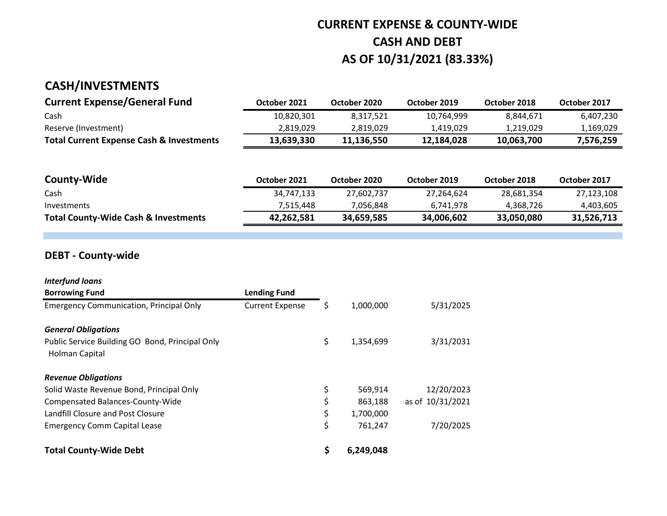# **CURRENT EXPENSE & COUNTY-WIDE CASH AND DEBT AS OF 10/31/2021 (83.33%)**

### **CASH/INVESTMENTS**

| <b>Current Expense/General Fund</b>                 | October 2021 | October 2020 | October 2019 | October 2018 | October 2017 |
|-----------------------------------------------------|--------------|--------------|--------------|--------------|--------------|
| Cash                                                | 10,820,301   | 8.317.521    | 10.764.999   | 8.844.671    | 6,407,230    |
| Reserve (Investment)                                | 2,819,029    | 2.819.029    | 1.419.029    | 1.219.029    | 1,169,029    |
| <b>Total Current Expense Cash &amp; Investments</b> | 13.639.330   | 11.136.550   | 12.184.028   | 10.063.700   | 7,576,259    |

| <b>County-Wide</b>                              | October 2021 | October 2020 | October 2019 | October 2018 | October 2017 |
|-------------------------------------------------|--------------|--------------|--------------|--------------|--------------|
| Cash                                            | 34,747,133   | 27,602,737   | 27,264,624   | 28,681,354   | 27,123,108   |
| Investments                                     | 7.515.448    | 7.056.848    | 6.741.978    | 4.368.726    | 4,403,605    |
| <b>Total County-Wide Cash &amp; Investments</b> | 42,262,581   | 34,659,585   | 34,006,602   | 33,050,080   | 31,526,713   |

#### **DEBT - County-wide**

| <b>Interfund loans</b>                                            |                        |    |           |                  |
|-------------------------------------------------------------------|------------------------|----|-----------|------------------|
| <b>Borrowing Fund</b>                                             | <b>Lending Fund</b>    |    |           |                  |
| <b>Emergency Communication, Principal Only</b>                    | <b>Current Expense</b> | S  | 1,000,000 | 5/31/2025        |
| <b>General Obligations</b>                                        |                        |    |           |                  |
| Public Service Building GO Bond, Principal Only<br>Holman Capital |                        | \$ | 1,354,699 | 3/31/2031        |
| <b>Revenue Obligations</b>                                        |                        |    |           |                  |
| Solid Waste Revenue Bond, Principal Only                          |                        | \$ | 569,914   | 12/20/2023       |
| Compensated Balances-County-Wide                                  |                        | \$ | 863,188   | as of 10/31/2021 |
| Landfill Closure and Post Closure                                 |                        | \$ | 1,700,000 |                  |
| <b>Emergency Comm Capital Lease</b>                               |                        | \$ | 761,247   | 7/20/2025        |
| <b>Total County-Wide Debt</b>                                     |                        | \$ | 6,249,048 |                  |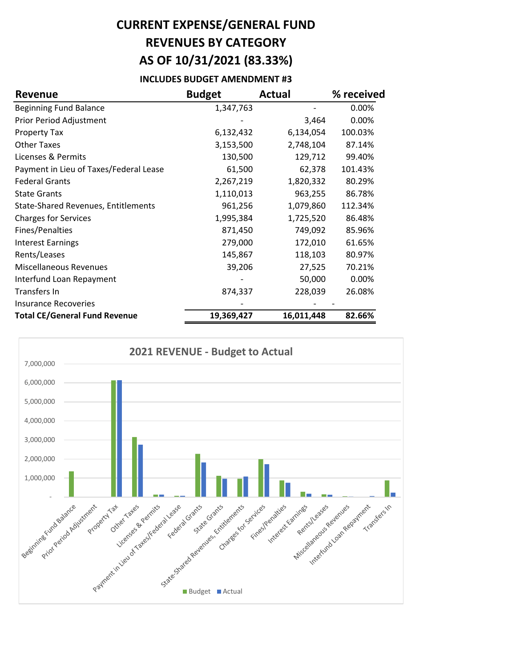# **CURRENT EXPENSE/GENERAL FUND REVENUES BY CATEGORY AS OF 10/31/2021 (83.33%)**

#### **INCLUDES BUDGET AMENDMENT #3**

| <b>Revenue</b>                             | <b>Budget</b> | <b>Actual</b> | % received |
|--------------------------------------------|---------------|---------------|------------|
| <b>Beginning Fund Balance</b>              | 1,347,763     |               | 0.00%      |
| Prior Period Adjustment                    |               | 3,464         | 0.00%      |
| <b>Property Tax</b>                        | 6,132,432     | 6,134,054     | 100.03%    |
| <b>Other Taxes</b>                         | 3,153,500     | 2,748,104     | 87.14%     |
| Licenses & Permits                         | 130,500       | 129,712       | 99.40%     |
| Payment in Lieu of Taxes/Federal Lease     | 61,500        | 62,378        | 101.43%    |
| <b>Federal Grants</b>                      | 2,267,219     | 1,820,332     | 80.29%     |
| <b>State Grants</b>                        | 1,110,013     | 963,255       | 86.78%     |
| <b>State-Shared Revenues, Entitlements</b> | 961,256       | 1,079,860     | 112.34%    |
| <b>Charges for Services</b>                | 1,995,384     | 1,725,520     | 86.48%     |
| Fines/Penalties                            | 871,450       | 749,092       | 85.96%     |
| <b>Interest Earnings</b>                   | 279,000       | 172,010       | 61.65%     |
| Rents/Leases                               | 145,867       | 118,103       | 80.97%     |
| <b>Miscellaneous Revenues</b>              | 39,206        | 27,525        | 70.21%     |
| Interfund Loan Repayment                   |               | 50,000        | 0.00%      |
| Transfers In                               | 874,337       | 228,039       | 26.08%     |
| Insurance Recoveries                       |               |               |            |
| <b>Total CE/General Fund Revenue</b>       | 19,369,427    | 16,011,448    | 82.66%     |

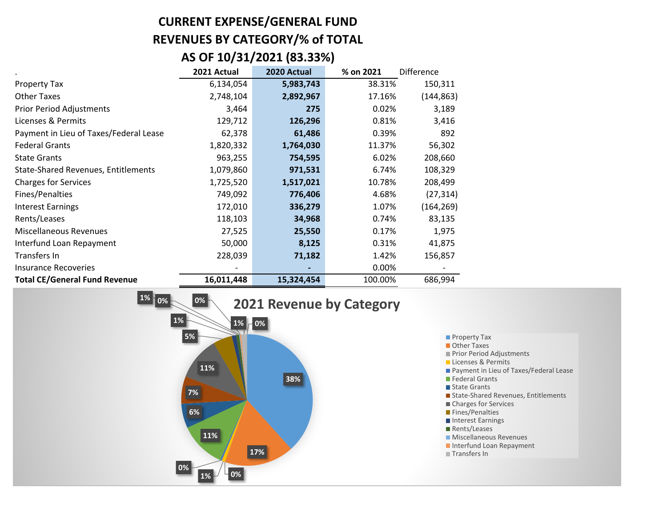# **CURRENT EXPENSE/GENERAL FUND REVENUES BY CATEGORY/% of TOTAL**

### **AS OF 10/31/2021 (83.33%)**

|                                        | 2021 Actual | 2020 Actual | % on 2021 | <b>Difference</b> |
|----------------------------------------|-------------|-------------|-----------|-------------------|
| Property Tax                           | 6,134,054   | 5,983,743   | 38.31%    | 150,311           |
| <b>Other Taxes</b>                     | 2,748,104   | 2,892,967   | 17.16%    | (144, 863)        |
| <b>Prior Period Adjustments</b>        | 3,464       | 275         | 0.02%     | 3,189             |
| Licenses & Permits                     | 129,712     | 126,296     | 0.81%     | 3,416             |
| Payment in Lieu of Taxes/Federal Lease | 62,378      | 61,486      | 0.39%     | 892               |
| <b>Federal Grants</b>                  | 1,820,332   | 1,764,030   | 11.37%    | 56,302            |
| <b>State Grants</b>                    | 963,255     | 754,595     | 6.02%     | 208,660           |
| State-Shared Revenues, Entitlements    | 1,079,860   | 971,531     | 6.74%     | 108,329           |
| <b>Charges for Services</b>            | 1,725,520   | 1,517,021   | 10.78%    | 208,499           |
| Fines/Penalties                        | 749,092     | 776,406     | 4.68%     | (27, 314)         |
| <b>Interest Earnings</b>               | 172,010     | 336,279     | 1.07%     | (164, 269)        |
| Rents/Leases                           | 118,103     | 34,968      | 0.74%     | 83,135            |
| <b>Miscellaneous Revenues</b>          | 27,525      | 25,550      | 0.17%     | 1,975             |
| Interfund Loan Repayment               | 50,000      | 8,125       | 0.31%     | 41,875            |
| Transfers In                           | 228,039     | 71,182      | 1.42%     | 156,857           |
| <b>Insurance Recoveries</b>            |             |             | $0.00\%$  |                   |
| <b>Total CE/General Fund Revenue</b>   | 16,011,448  | 15,324,454  | 100.00%   | 686,994           |

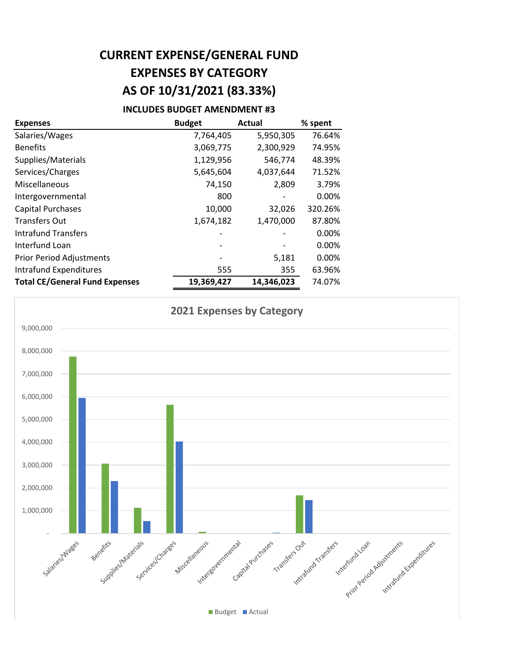# **CURRENT EXPENSE/GENERAL FUND EXPENSES BY CATEGORY AS OF 10/31/2021 (83.33%)**

#### **INCLUDES BUDGET AMENDMENT #3**

| <b>Expenses</b>                       | <b>Budget</b> | <b>Actual</b> | % spent |
|---------------------------------------|---------------|---------------|---------|
| Salaries/Wages                        | 7,764,405     | 5,950,305     | 76.64%  |
| <b>Benefits</b>                       | 3,069,775     | 2,300,929     | 74.95%  |
| Supplies/Materials                    | 1,129,956     | 546,774       | 48.39%  |
| Services/Charges                      | 5,645,604     | 4,037,644     | 71.52%  |
| Miscellaneous                         | 74,150        | 2,809         | 3.79%   |
| Intergovernmental                     | 800           |               | 0.00%   |
| <b>Capital Purchases</b>              | 10,000        | 32,026        | 320.26% |
| <b>Transfers Out</b>                  | 1,674,182     | 1,470,000     | 87.80%  |
| <b>Intrafund Transfers</b>            |               |               | 0.00%   |
| Interfund Loan                        |               |               | 0.00%   |
| <b>Prior Period Adjustments</b>       |               | 5,181         | 0.00%   |
| <b>Intrafund Expenditures</b>         | 555           | 355           | 63.96%  |
| <b>Total CE/General Fund Expenses</b> | 19,369,427    | 14,346,023    | 74.07%  |

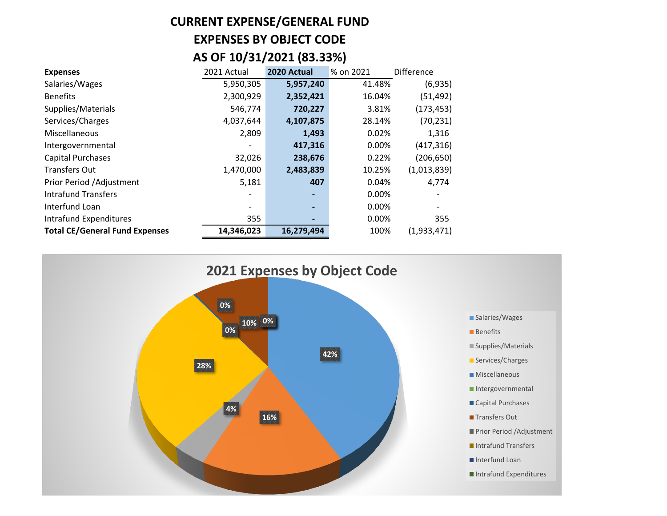# **CURRENT EXPENSE/GENERAL FUND EXPENSES BY OBJECT CODE AS OF 10/31/2021 (83.33%)**

| <b>Expenses</b>                       | 2021 Actual | 2020 Actual | % on 2021 | <b>Difference</b> |
|---------------------------------------|-------------|-------------|-----------|-------------------|
| Salaries/Wages                        | 5,950,305   | 5,957,240   | 41.48%    | (6,935)           |
| <b>Benefits</b>                       | 2,300,929   | 2,352,421   | 16.04%    | (51, 492)         |
| Supplies/Materials                    | 546,774     | 720,227     | 3.81%     | (173, 453)        |
| Services/Charges                      | 4,037,644   | 4,107,875   | 28.14%    | (70, 231)         |
| Miscellaneous                         | 2,809       | 1,493       | 0.02%     | 1,316             |
| Intergovernmental                     |             | 417,316     | 0.00%     | (417, 316)        |
| <b>Capital Purchases</b>              | 32,026      | 238,676     | 0.22%     | (206, 650)        |
| <b>Transfers Out</b>                  | 1,470,000   | 2,483,839   | 10.25%    | (1,013,839)       |
| Prior Period /Adjustment              | 5,181       | 407         | 0.04%     | 4,774             |
| <b>Intrafund Transfers</b>            |             |             | 0.00%     |                   |
| Interfund Loan                        |             |             | 0.00%     |                   |
| Intrafund Expenditures                | 355         |             | 0.00%     | 355               |
| <b>Total CE/General Fund Expenses</b> | 14,346,023  | 16,279,494  | 100%      | (1,933,471)       |

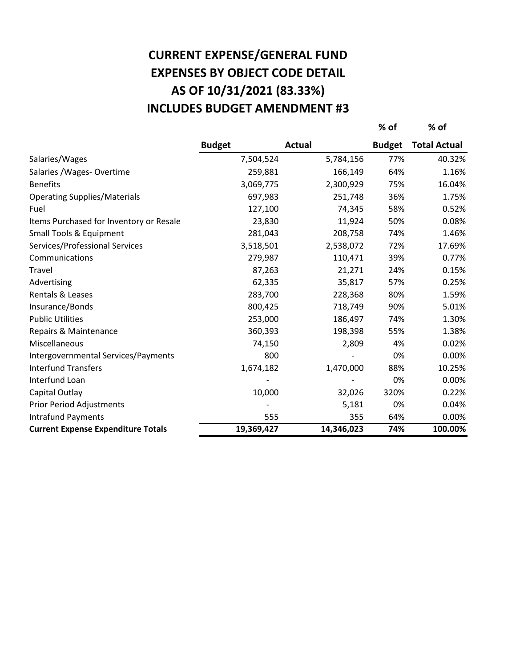# **AS OF 10/31/2021 (83.33%) CURRENT EXPENSE/GENERAL FUND EXPENSES BY OBJECT CODE DETAIL INCLUDES BUDGET AMENDMENT #3**

|                                           |               |               | % of          | $%$ of              |
|-------------------------------------------|---------------|---------------|---------------|---------------------|
|                                           | <b>Budget</b> | <b>Actual</b> | <b>Budget</b> | <b>Total Actual</b> |
| Salaries/Wages                            | 7,504,524     | 5,784,156     | 77%           | 40.32%              |
| Salaries / Wages- Overtime                | 259,881       | 166,149       | 64%           | 1.16%               |
| <b>Benefits</b>                           | 3,069,775     | 2,300,929     | 75%           | 16.04%              |
| <b>Operating Supplies/Materials</b>       | 697,983       | 251,748       | 36%           | 1.75%               |
| Fuel                                      | 127,100       | 74,345        | 58%           | 0.52%               |
| Items Purchased for Inventory or Resale   | 23,830        | 11,924        | 50%           | 0.08%               |
| Small Tools & Equipment                   | 281,043       | 208,758       | 74%           | 1.46%               |
| Services/Professional Services            | 3,518,501     | 2,538,072     | 72%           | 17.69%              |
| Communications                            | 279,987       | 110,471       | 39%           | 0.77%               |
| Travel                                    | 87,263        | 21,271        | 24%           | 0.15%               |
| Advertising                               | 62,335        | 35,817        | 57%           | 0.25%               |
| Rentals & Leases                          | 283,700       | 228,368       | 80%           | 1.59%               |
| Insurance/Bonds                           | 800,425       | 718,749       | 90%           | 5.01%               |
| <b>Public Utilities</b>                   | 253,000       | 186,497       | 74%           | 1.30%               |
| Repairs & Maintenance                     | 360,393       | 198,398       | 55%           | 1.38%               |
| Miscellaneous                             | 74,150        | 2,809         | 4%            | 0.02%               |
| Intergovernmental Services/Payments       | 800           |               | 0%            | 0.00%               |
| <b>Interfund Transfers</b>                | 1,674,182     | 1,470,000     | 88%           | 10.25%              |
| Interfund Loan                            |               |               | 0%            | 0.00%               |
| Capital Outlay                            | 10,000        | 32,026        | 320%          | 0.22%               |
| <b>Prior Period Adjustments</b>           |               | 5,181         | 0%            | 0.04%               |
| <b>Intrafund Payments</b>                 | 555           | 355           | 64%           | 0.00%               |
| <b>Current Expense Expenditure Totals</b> | 19,369,427    | 14,346,023    | 74%           | 100.00%             |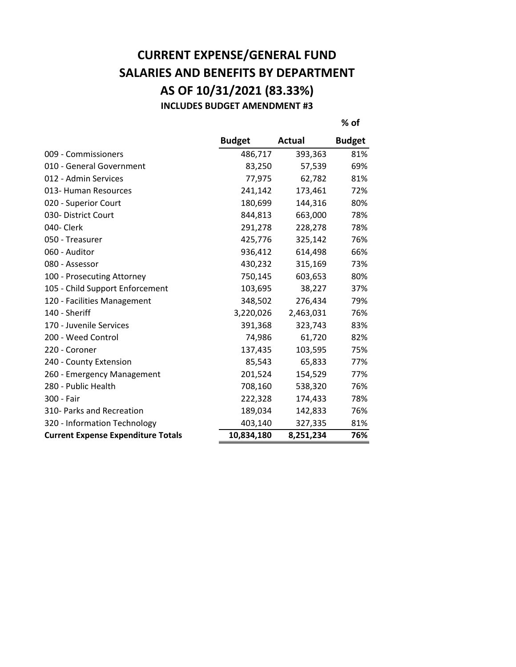### **CURRENT EXPENSE/GENERAL FUND SALARIES AND BENEFITS BY DEPARTMENT AS OF 10/31/2021 (83.33%) INCLUDES BUDGET AMENDMENT #3**

**% of**

|                                           | <b>Budget</b> | Actual    | <b>Budget</b> |
|-------------------------------------------|---------------|-----------|---------------|
| 009 - Commissioners                       | 486,717       | 393,363   | 81%           |
| 010 - General Government                  | 83,250        | 57,539    | 69%           |
| 012 - Admin Services                      | 77,975        | 62,782    | 81%           |
| 013- Human Resources                      | 241,142       | 173,461   | 72%           |
| 020 - Superior Court                      | 180,699       | 144,316   | 80%           |
| 030- District Court                       | 844,813       | 663,000   | 78%           |
| 040- Clerk                                | 291,278       | 228,278   | 78%           |
| 050 - Treasurer                           | 425,776       | 325,142   | 76%           |
| 060 - Auditor                             | 936,412       | 614,498   | 66%           |
| 080 - Assessor                            | 430,232       | 315,169   | 73%           |
| 100 - Prosecuting Attorney                | 750,145       | 603,653   | 80%           |
| 105 - Child Support Enforcement           | 103,695       | 38,227    | 37%           |
| 120 - Facilities Management               | 348,502       | 276,434   | 79%           |
| 140 - Sheriff                             | 3,220,026     | 2,463,031 | 76%           |
| 170 - Juvenile Services                   | 391,368       | 323,743   | 83%           |
| 200 - Weed Control                        | 74,986        | 61,720    | 82%           |
| 220 - Coroner                             | 137,435       | 103,595   | 75%           |
| 240 - County Extension                    | 85,543        | 65,833    | 77%           |
| 260 - Emergency Management                | 201,524       | 154,529   | 77%           |
| 280 - Public Health                       | 708,160       | 538,320   | 76%           |
| 300 - Fair                                | 222,328       | 174,433   | 78%           |
| 310- Parks and Recreation                 | 189,034       | 142,833   | 76%           |
| 320 - Information Technology              | 403,140       | 327,335   | 81%           |
| <b>Current Expense Expenditure Totals</b> | 10,834,180    | 8,251,234 | 76%           |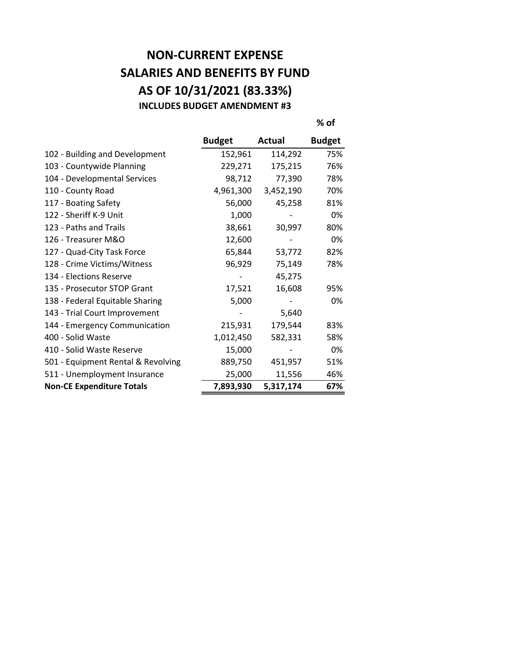### **NON-CURRENT EXPENSE SALARIES AND BENEFITS BY FUND AS OF 10/31/2021 (83.33%) INCLUDES BUDGET AMENDMENT #3**

**% of**

|                                    | <b>Budget</b> | Actual    | <b>Budget</b> |
|------------------------------------|---------------|-----------|---------------|
| 102 - Building and Development     | 152,961       | 114,292   | 75%           |
| 103 - Countywide Planning          | 229,271       | 175,215   | 76%           |
| 104 - Developmental Services       | 98,712        | 77,390    | 78%           |
| 110 - County Road                  | 4,961,300     | 3,452,190 | 70%           |
| 117 - Boating Safety               | 56,000        | 45,258    | 81%           |
| 122 - Sheriff K-9 Unit             | 1,000         |           | 0%            |
| 123 - Paths and Trails             | 38,661        | 30,997    | 80%           |
| 126 - Treasurer M&O                | 12,600        |           | 0%            |
| 127 - Quad-City Task Force         | 65,844        | 53,772    | 82%           |
| 128 - Crime Victims/Witness        | 96,929        | 75,149    | 78%           |
| 134 - Elections Reserve            |               | 45,275    |               |
| 135 - Prosecutor STOP Grant        | 17,521        | 16,608    | 95%           |
| 138 - Federal Equitable Sharing    | 5,000         |           | 0%            |
| 143 - Trial Court Improvement      |               | 5,640     |               |
| 144 - Emergency Communication      | 215,931       | 179,544   | 83%           |
| 400 - Solid Waste                  | 1,012,450     | 582,331   | 58%           |
| 410 - Solid Waste Reserve          | 15,000        |           | 0%            |
| 501 - Equipment Rental & Revolving | 889,750       | 451,957   | 51%           |
| 511 - Unemployment Insurance       | 25,000        | 11,556    | 46%           |
| <b>Non-CE Expenditure Totals</b>   | 7,893,930     | 5,317,174 | 67%           |